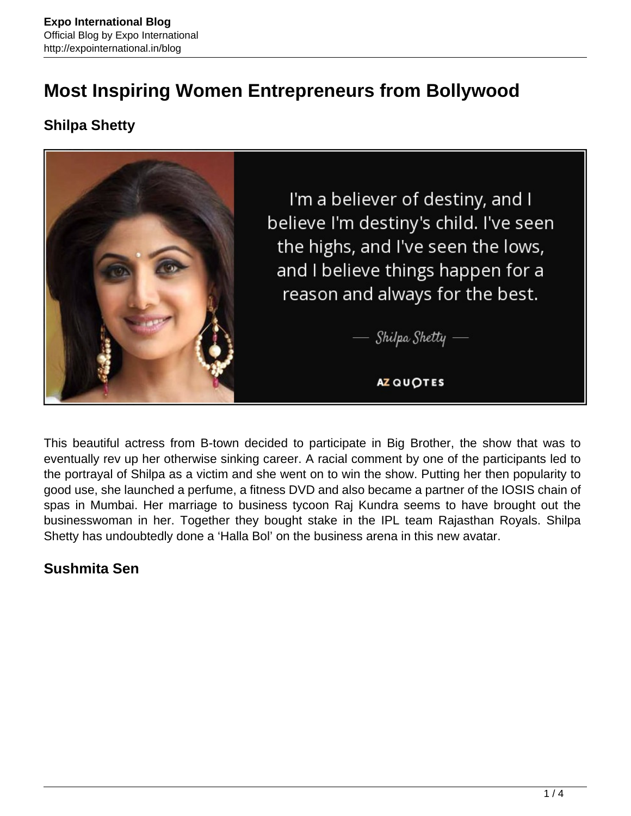# **Most Inspiring Women Entrepreneurs from Bollywood**

## **Shilpa Shetty**



This beautiful actress from B-town decided to participate in Big Brother, the show that was to eventually rev up her otherwise sinking career. A racial comment by one of the participants led to the portrayal of Shilpa as a victim and she went on to win the show. Putting her then popularity to good use, she launched a perfume, a fitness DVD and also became a partner of the IOSIS chain of spas in Mumbai. Her marriage to business tycoon Raj Kundra seems to have brought out the businesswoman in her. Together they bought stake in the IPL team Rajasthan Royals. Shilpa Shetty has undoubtedly done a 'Halla Bol' on the business arena in this new avatar.

## **Sushmita Sen**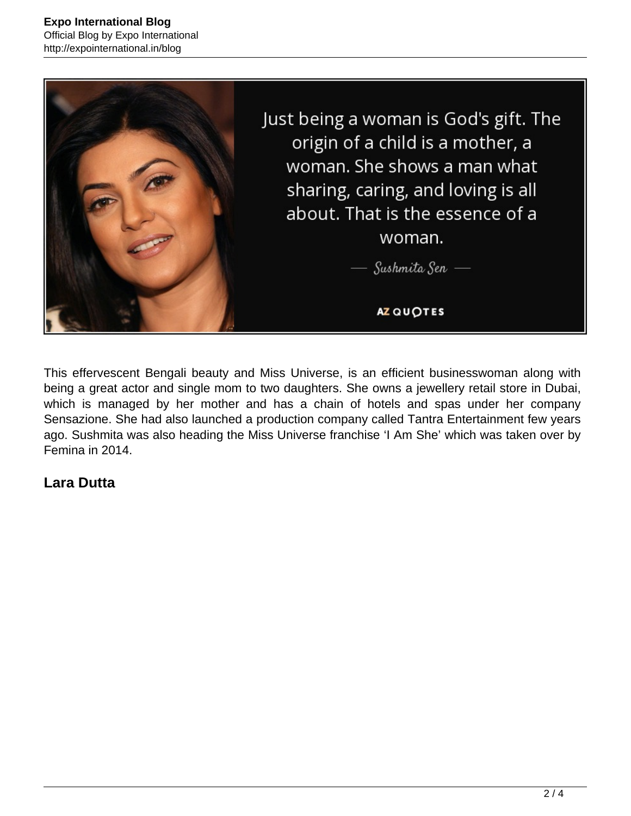

This effervescent Bengali beauty and Miss Universe, is an efficient businesswoman along with being a great actor and single mom to two daughters. She owns a jewellery retail store in Dubai, which is managed by her mother and has a chain of hotels and spas under her company Sensazione. She had also launched a production company called Tantra Entertainment few years ago. Sushmita was also heading the Miss Universe franchise 'I Am She' which was taken over by Femina in 2014.

#### **Lara Dutta**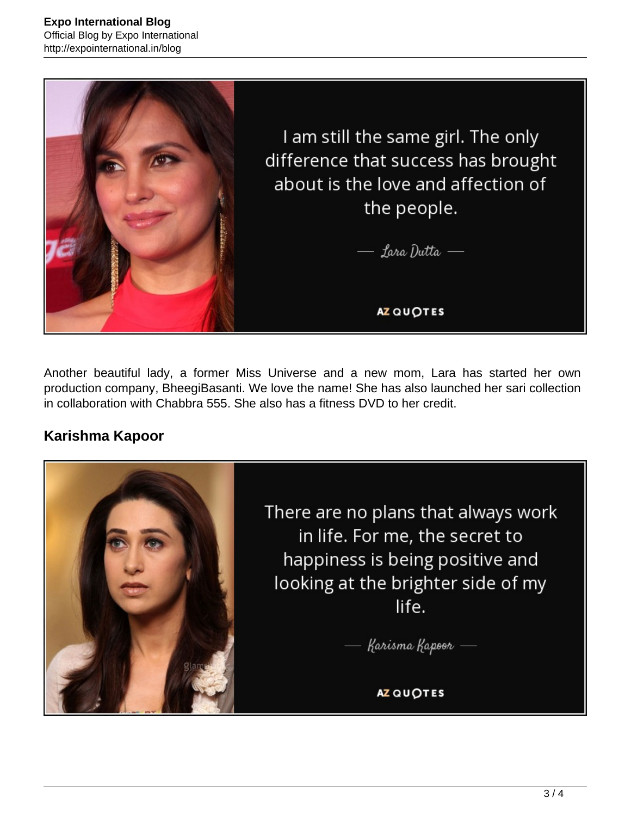

Another beautiful lady, a former Miss Universe and a new mom, Lara has started her own production company, BheegiBasanti. We love the name! She has also launched her sari collection in collaboration with Chabbra 555. She also has a fitness DVD to her credit.

## **Karishma Kapoor**